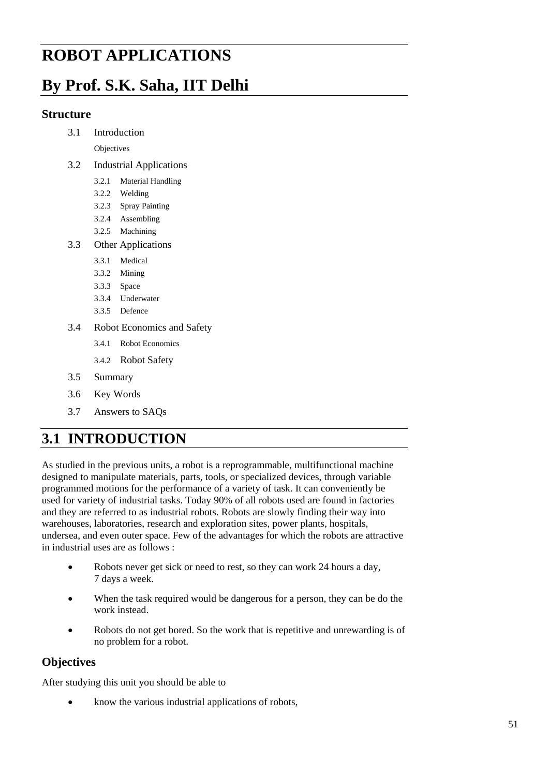# **Applications ROBOT APPLICATIONS**

# **By Prof. S.K. Saha, IIT Delhi**

### **Structure**

3.1 Introduction

**Objectives** 

- 3.2 Industrial Applications
	- 3.2.1 Material Handling
	- 3.2.2 Welding
	- 3.2.3 Spray Painting
	- 3.2.4 Assembling
	- 3.2.5 Machining
- 3.3 Other Applications
	- 3.3.1 Medical
	- 3.3.2 Mining
	- 3.3.3 Space
	- 3.3.4 Underwater
	- 3.3.5 Defence
- 3.4 Robot Economics and Safety
	- 3.4.1 Robot Economics
	- 3.4.2 Robot Safety
- 3.5 Summary
- 3.6 Key Words
- 3.7 Answers to SAQs

# **3.1 INTRODUCTION**

As studied in the previous units, a robot is a reprogrammable, multifunctional machine designed to manipulate materials, parts, tools, or specialized devices, through variable programmed motions for the performance of a variety of task. It can conveniently be used for variety of industrial tasks. Today 90% of all robots used are found in factories and they are referred to as industrial robots. Robots are slowly finding their way into warehouses, laboratories, research and exploration sites, power plants, hospitals, undersea, and even outer space. Few of the advantages for which the robots are attractive in industrial uses are as follows :

- Robots never get sick or need to rest, so they can work 24 hours a day, 7 days a week.
- When the task required would be dangerous for a person, they can be do the work instead.
- Robots do not get bored. So the work that is repetitive and unrewarding is of no problem for a robot.

# **Objectives**

After studying this unit you should be able to

• know the various industrial applications of robots,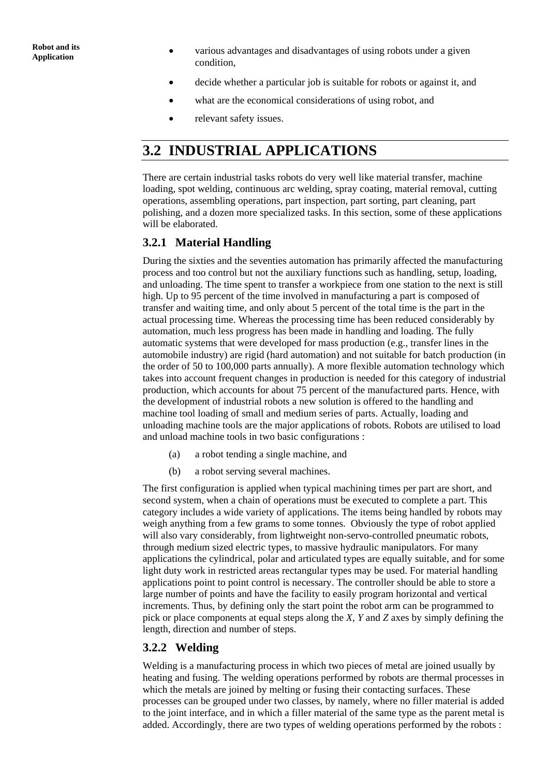- **Application •** various advantages and disadvantages of using robots under a given Application condition,
	- decide whether a particular job is suitable for robots or against it, and
	- what are the economical considerations of using robot, and
	- relevant safety issues.

# **3.2 INDUSTRIAL APPLICATIONS**

There are certain industrial tasks robots do very well like material transfer, machine loading, spot welding, continuous arc welding, spray coating, material removal, cutting operations, assembling operations, part inspection, part sorting, part cleaning, part polishing, and a dozen more specialized tasks. In this section, some of these applications will be elaborated.

# **3.2.1 Material Handling**

During the sixties and the seventies automation has primarily affected the manufacturing process and too control but not the auxiliary functions such as handling, setup, loading, and unloading. The time spent to transfer a workpiece from one station to the next is still high. Up to 95 percent of the time involved in manufacturing a part is composed of transfer and waiting time, and only about 5 percent of the total time is the part in the actual processing time. Whereas the processing time has been reduced considerably by automation, much less progress has been made in handling and loading. The fully automatic systems that were developed for mass production (e.g., transfer lines in the automobile industry) are rigid (hard automation) and not suitable for batch production (in the order of 50 to 100,000 parts annually). A more flexible automation technology which takes into account frequent changes in production is needed for this category of industrial production, which accounts for about 75 percent of the manufactured parts. Hence, with the development of industrial robots a new solution is offered to the handling and machine tool loading of small and medium series of parts. Actually, loading and unloading machine tools are the major applications of robots. Robots are utilised to load and unload machine tools in two basic configurations :

- (a) a robot tending a single machine, and
- (b) a robot serving several machines.

The first configuration is applied when typical machining times per part are short, and second system, when a chain of operations must be executed to complete a part. This category includes a wide variety of applications. The items being handled by robots may weigh anything from a few grams to some tonnes. Obviously the type of robot applied will also vary considerably, from lightweight non-servo-controlled pneumatic robots, through medium sized electric types, to massive hydraulic manipulators. For many applications the cylindrical, polar and articulated types are equally suitable, and for some light duty work in restricted areas rectangular types may be used. For material handling applications point to point control is necessary. The controller should be able to store a large number of points and have the facility to easily program horizontal and vertical increments. Thus, by defining only the start point the robot arm can be programmed to pick or place components at equal steps along the *X*, *Y* and *Z* axes by simply defining the length, direction and number of steps.

# **3.2.2 Welding**

Welding is a manufacturing process in which two pieces of metal are joined usually by heating and fusing. The welding operations performed by robots are thermal processes in which the metals are joined by melting or fusing their contacting surfaces. These processes can be grouped under two classes, by namely, where no filler material is added to the joint interface, and in which a filler material of the same type as the parent metal is added. Accordingly, there are two types of welding operations performed by the robots :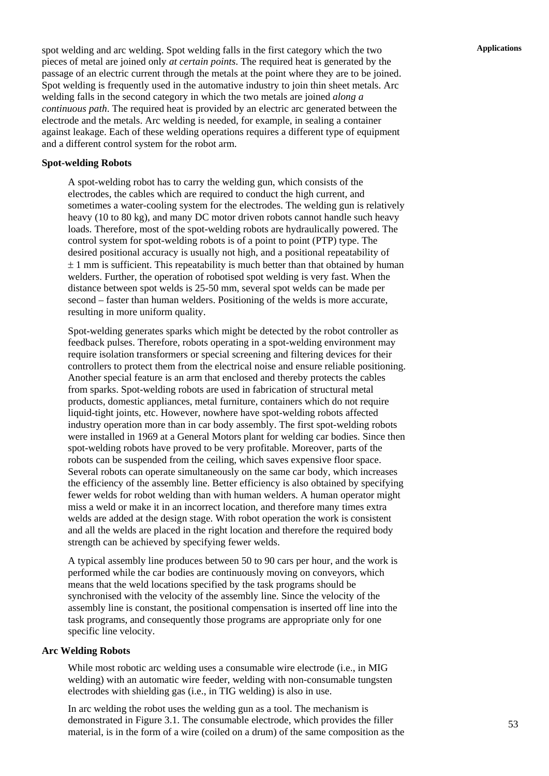**Applications** spot welding and arc welding. Spot welding falls in the first category which the two pieces of metal are joined only *at certain points*. The required heat is generated by the passage of an electric current through the metals at the point where they are to be joined. Spot welding is frequently used in the automative industry to join thin sheet metals. Arc welding falls in the second category in which the two metals are joined *along a continuous path*. The required heat is provided by an electric arc generated between the electrode and the metals. Arc welding is needed, for example, in sealing a container against leakage. Each of these welding operations requires a different type of equipment and a different control system for the robot arm.

#### **Spot-welding Robots**

A spot-welding robot has to carry the welding gun, which consists of the electrodes, the cables which are required to conduct the high current, and sometimes a water-cooling system for the electrodes. The welding gun is relatively heavy (10 to 80 kg), and many DC motor driven robots cannot handle such heavy loads. Therefore, most of the spot-welding robots are hydraulically powered. The control system for spot-welding robots is of a point to point (PTP) type. The desired positional accuracy is usually not high, and a positional repeatability of  $\pm$  1 mm is sufficient. This repeatability is much better than that obtained by human welders. Further, the operation of robotised spot welding is very fast. When the distance between spot welds is 25-50 mm, several spot welds can be made per second – faster than human welders. Positioning of the welds is more accurate, resulting in more uniform quality.

Spot-welding generates sparks which might be detected by the robot controller as feedback pulses. Therefore, robots operating in a spot-welding environment may require isolation transformers or special screening and filtering devices for their controllers to protect them from the electrical noise and ensure reliable positioning. Another special feature is an arm that enclosed and thereby protects the cables from sparks. Spot-welding robots are used in fabrication of structural metal products, domestic appliances, metal furniture, containers which do not require liquid-tight joints, etc. However, nowhere have spot-welding robots affected industry operation more than in car body assembly. The first spot-welding robots were installed in 1969 at a General Motors plant for welding car bodies. Since then spot-welding robots have proved to be very profitable. Moreover, parts of the robots can be suspended from the ceiling, which saves expensive floor space. Several robots can operate simultaneously on the same car body, which increases the efficiency of the assembly line. Better efficiency is also obtained by specifying fewer welds for robot welding than with human welders. A human operator might miss a weld or make it in an incorrect location, and therefore many times extra welds are added at the design stage. With robot operation the work is consistent and all the welds are placed in the right location and therefore the required body strength can be achieved by specifying fewer welds.

A typical assembly line produces between 50 to 90 cars per hour, and the work is performed while the car bodies are continuously moving on conveyors, which means that the weld locations specified by the task programs should be synchronised with the velocity of the assembly line. Since the velocity of the assembly line is constant, the positional compensation is inserted off line into the task programs, and consequently those programs are appropriate only for one specific line velocity.

#### **Arc Welding Robots**

While most robotic arc welding uses a consumable wire electrode (i.e., in MIG welding) with an automatic wire feeder, welding with non-consumable tungsten electrodes with shielding gas (i.e., in TIG welding) is also in use.

In arc welding the robot uses the welding gun as a tool. The mechanism is demonstrated in Figure 3.1. The consumable electrode, which provides the filler material, is in the form of a wire (coiled on a drum) of the same composition as the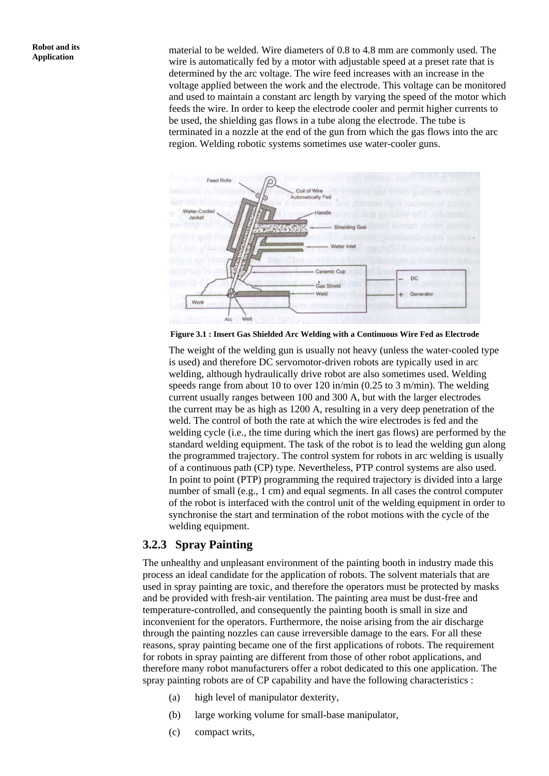**Robot and its**<br>**Application material to be welded.** Wire diameters of 0.8 to 4.8 mm are commonly used. The Application wire is automatically fed by a motor with adjustable speed at a preset rate that is determined by the arc voltage. The wire feed increases with an increase in the voltage applied between the work and the electrode. This voltage can be monitored and used to maintain a constant arc length by varying the speed of the motor which feeds the wire. In order to keep the electrode cooler and permit higher currents to be used, the shielding gas flows in a tube along the electrode. The tube is terminated in a nozzle at the end of the gun from which the gas flows into the arc region. Welding robotic systems sometimes use water-cooler guns.



**Figure 3.1 : Insert Gas Shielded Arc Welding with a Continuous Wire Fed as Electrode** 

The weight of the welding gun is usually not heavy (unless the water-cooled type is used) and therefore DC servomotor-driven robots are typically used in arc welding, although hydraulically drive robot are also sometimes used. Welding speeds range from about 10 to over 120 in/min (0.25 to 3 m/min). The welding current usually ranges between 100 and 300 A, but with the larger electrodes the current may be as high as 1200 A, resulting in a very deep penetration of the weld. The control of both the rate at which the wire electrodes is fed and the welding cycle (i.e., the time during which the inert gas flows) are performed by the standard welding equipment. The task of the robot is to lead the welding gun along the programmed trajectory. The control system for robots in arc welding is usually of a continuous path (CP) type. Nevertheless, PTP control systems are also used. In point to point (PTP) programming the required trajectory is divided into a large number of small (e.g., 1 cm) and equal segments. In all cases the control computer of the robot is interfaced with the control unit of the welding equipment in order to synchronise the start and termination of the robot motions with the cycle of the welding equipment.

### **3.2.3 Spray Painting**

The unhealthy and unpleasant environment of the painting booth in industry made this process an ideal candidate for the application of robots. The solvent materials that are used in spray painting are toxic, and therefore the operators must be protected by masks and be provided with fresh-air ventilation. The painting area must be dust-free and temperature-controlled, and consequently the painting booth is small in size and inconvenient for the operators. Furthermore, the noise arising from the air discharge through the painting nozzles can cause irreversible damage to the ears. For all these reasons, spray painting became one of the first applications of robots. The requirement for robots in spray painting are different from those of other robot applications, and therefore many robot manufacturers offer a robot dedicated to this one application. The spray painting robots are of CP capability and have the following characteristics :

- (a) high level of manipulator dexterity,
- (b) large working volume for small-base manipulator,
- (c) compact writs,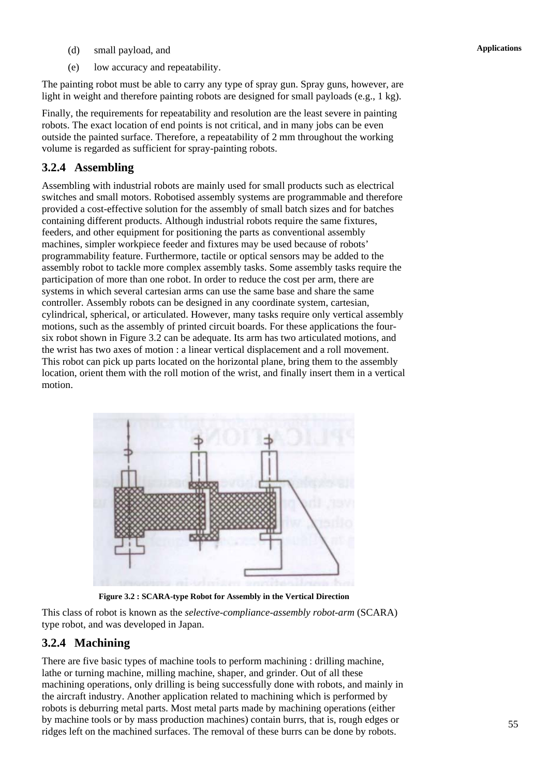- **Applications** (d) small payload, and
- (e) low accuracy and repeatability.

The painting robot must be able to carry any type of spray gun. Spray guns, however, are light in weight and therefore painting robots are designed for small payloads (e.g., 1 kg).

Finally, the requirements for repeatability and resolution are the least severe in painting robots. The exact location of end points is not critical, and in many jobs can be even outside the painted surface. Therefore, a repeatability of 2 mm throughout the working volume is regarded as sufficient for spray-painting robots.

# **3.2.4 Assembling**

Assembling with industrial robots are mainly used for small products such as electrical switches and small motors. Robotised assembly systems are programmable and therefore provided a cost-effective solution for the assembly of small batch sizes and for batches containing different products. Although industrial robots require the same fixtures, feeders, and other equipment for positioning the parts as conventional assembly machines, simpler workpiece feeder and fixtures may be used because of robots' programmability feature. Furthermore, tactile or optical sensors may be added to the assembly robot to tackle more complex assembly tasks. Some assembly tasks require the participation of more than one robot. In order to reduce the cost per arm, there are systems in which several cartesian arms can use the same base and share the same controller. Assembly robots can be designed in any coordinate system, cartesian, cylindrical, spherical, or articulated. However, many tasks require only vertical assembly motions, such as the assembly of printed circuit boards. For these applications the foursix robot shown in Figure 3.2 can be adequate. Its arm has two articulated motions, and the wrist has two axes of motion : a linear vertical displacement and a roll movement. This robot can pick up parts located on the horizontal plane, bring them to the assembly location, orient them with the roll motion of the wrist, and finally insert them in a vertical motion.



**Figure 3.2 : SCARA-type Robot for Assembly in the Vertical Direction** 

This class of robot is known as the *selective-compliance-assembly robot-arm* (SCARA) type robot, and was developed in Japan.

# **3.2.4 Machining**

There are five basic types of machine tools to perform machining : drilling machine, lathe or turning machine, milling machine, shaper, and grinder. Out of all these machining operations, only drilling is being successfully done with robots, and mainly in the aircraft industry. Another application related to machining which is performed by robots is deburring metal parts. Most metal parts made by machining operations (either by machine tools or by mass production machines) contain burrs, that is, rough edges or ridges left on the machined surfaces. The removal of these burrs can be done by robots.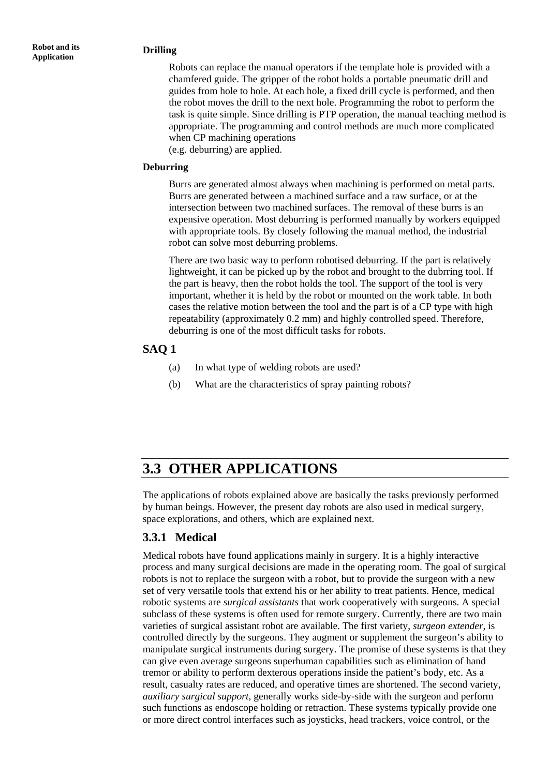#### **Robot and its Application Drilling**

Robots can replace the manual operators if the template hole is provided with a chamfered guide. The gripper of the robot holds a portable pneumatic drill and guides from hole to hole. At each hole, a fixed drill cycle is performed, and then the robot moves the drill to the next hole. Programming the robot to perform the task is quite simple. Since drilling is PTP operation, the manual teaching method is appropriate. The programming and control methods are much more complicated when CP machining operations

(e.g. deburring) are applied.

#### **Deburring**

Burrs are generated almost always when machining is performed on metal parts. Burrs are generated between a machined surface and a raw surface, or at the intersection between two machined surfaces. The removal of these burrs is an expensive operation. Most deburring is performed manually by workers equipped with appropriate tools. By closely following the manual method, the industrial robot can solve most deburring problems.

There are two basic way to perform robotised deburring. If the part is relatively lightweight, it can be picked up by the robot and brought to the dubrring tool. If the part is heavy, then the robot holds the tool. The support of the tool is very important, whether it is held by the robot or mounted on the work table. In both cases the relative motion between the tool and the part is of a CP type with high repeatability (approximately 0.2 mm) and highly controlled speed. Therefore, deburring is one of the most difficult tasks for robots.

### **SAQ 1**

- (a) In what type of welding robots are used?
- (b) What are the characteristics of spray painting robots?

# **3.3 OTHER APPLICATIONS**

The applications of robots explained above are basically the tasks previously performed by human beings. However, the present day robots are also used in medical surgery, space explorations, and others, which are explained next.

# **3.3.1 Medical**

Medical robots have found applications mainly in surgery. It is a highly interactive process and many surgical decisions are made in the operating room. The goal of surgical robots is not to replace the surgeon with a robot, but to provide the surgeon with a new set of very versatile tools that extend his or her ability to treat patients. Hence, medical robotic systems are *surgical assistants* that work cooperatively with surgeons. A special subclass of these systems is often used for remote surgery. Currently, there are two main varieties of surgical assistant robot are available. The first variety, *surgeon extender*, is controlled directly by the surgeons. They augment or supplement the surgeon's ability to manipulate surgical instruments during surgery. The promise of these systems is that they can give even average surgeons superhuman capabilities such as elimination of hand tremor or ability to perform dexterous operations inside the patient's body, etc. As a result, casualty rates are reduced, and operative times are shortened. The second variety, *auxiliary surgical support*, generally works side-by-side with the surgeon and perform such functions as endoscope holding or retraction. These systems typically provide one or more direct control interfaces such as joysticks, head trackers, voice control, or the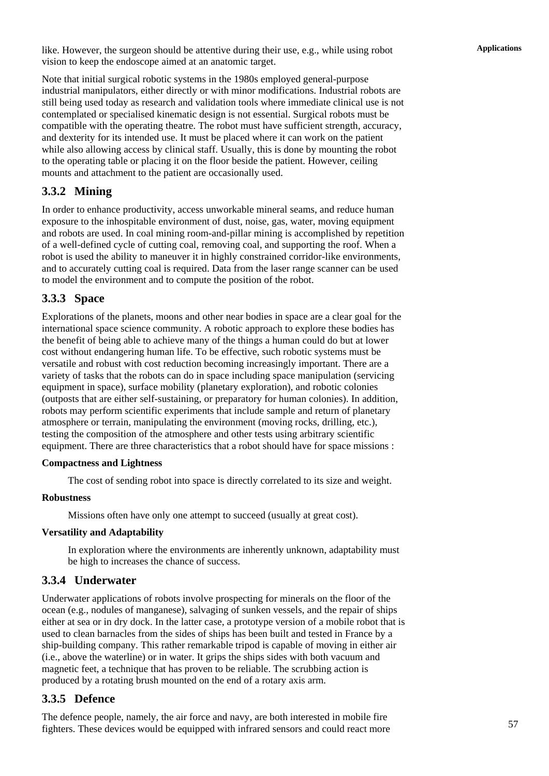**Applications** like. However, the surgeon should be attentive during their use, e.g., while using robot vision to keep the endoscope aimed at an anatomic target.

Note that initial surgical robotic systems in the 1980s employed general-purpose industrial manipulators, either directly or with minor modifications. Industrial robots are still being used today as research and validation tools where immediate clinical use is not contemplated or specialised kinematic design is not essential. Surgical robots must be compatible with the operating theatre. The robot must have sufficient strength, accuracy, and dexterity for its intended use. It must be placed where it can work on the patient while also allowing access by clinical staff. Usually, this is done by mounting the robot to the operating table or placing it on the floor beside the patient. However, ceiling mounts and attachment to the patient are occasionally used.

# **3.3.2 Mining**

In order to enhance productivity, access unworkable mineral seams, and reduce human exposure to the inhospitable environment of dust, noise, gas, water, moving equipment and robots are used. In coal mining room-and-pillar mining is accomplished by repetition of a well-defined cycle of cutting coal, removing coal, and supporting the roof. When a robot is used the ability to maneuver it in highly constrained corridor-like environments, and to accurately cutting coal is required. Data from the laser range scanner can be used to model the environment and to compute the position of the robot.

# **3.3.3 Space**

Explorations of the planets, moons and other near bodies in space are a clear goal for the international space science community. A robotic approach to explore these bodies has the benefit of being able to achieve many of the things a human could do but at lower cost without endangering human life. To be effective, such robotic systems must be versatile and robust with cost reduction becoming increasingly important. There are a variety of tasks that the robots can do in space including space manipulation (servicing equipment in space), surface mobility (planetary exploration), and robotic colonies (outposts that are either self-sustaining, or preparatory for human colonies). In addition, robots may perform scientific experiments that include sample and return of planetary atmosphere or terrain, manipulating the environment (moving rocks, drilling, etc.), testing the composition of the atmosphere and other tests using arbitrary scientific equipment. There are three characteristics that a robot should have for space missions :

#### **Compactness and Lightness**

The cost of sending robot into space is directly correlated to its size and weight.

#### **Robustness**

Missions often have only one attempt to succeed (usually at great cost).

#### **Versatility and Adaptability**

In exploration where the environments are inherently unknown, adaptability must be high to increases the chance of success.

# **3.3.4 Underwater**

Underwater applications of robots involve prospecting for minerals on the floor of the ocean (e.g., nodules of manganese), salvaging of sunken vessels, and the repair of ships either at sea or in dry dock. In the latter case, a prototype version of a mobile robot that is used to clean barnacles from the sides of ships has been built and tested in France by a ship-building company. This rather remarkable tripod is capable of moving in either air (i.e., above the waterline) or in water. It grips the ships sides with both vacuum and magnetic feet, a technique that has proven to be reliable. The scrubbing action is produced by a rotating brush mounted on the end of a rotary axis arm.

# **3.3.5 Defence**

The defence people, namely, the air force and navy, are both interested in mobile fire fighters. These devices would be equipped with infrared sensors and could react more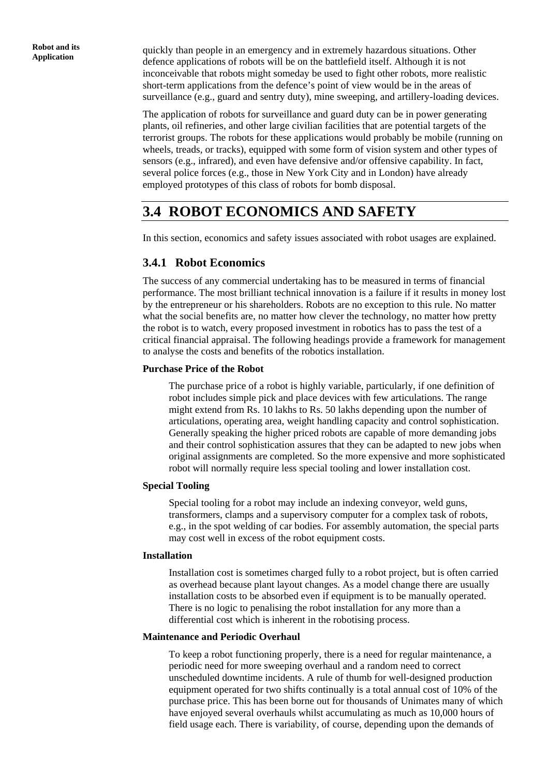**Robot and its** quickly than people in an emergency and in extremely hazardous situations. Other Application defence applications of robots will be on the battlefield itself. Although it is not inconceivable that robots might someday be used to fight other robots, more realistic short-term applications from the defence's point of view would be in the areas of surveillance (e.g., guard and sentry duty), mine sweeping, and artillery-loading devices.

> The application of robots for surveillance and guard duty can be in power generating plants, oil refineries, and other large civilian facilities that are potential targets of the terrorist groups. The robots for these applications would probably be mobile (running on wheels, treads, or tracks), equipped with some form of vision system and other types of sensors (e.g., infrared), and even have defensive and/or offensive capability. In fact, several police forces (e.g., those in New York City and in London) have already employed prototypes of this class of robots for bomb disposal.

# **3.4 ROBOT ECONOMICS AND SAFETY**

In this section, economics and safety issues associated with robot usages are explained.

# **3.4.1 Robot Economics**

The success of any commercial undertaking has to be measured in terms of financial performance. The most brilliant technical innovation is a failure if it results in money lost by the entrepreneur or his shareholders. Robots are no exception to this rule. No matter what the social benefits are, no matter how clever the technology, no matter how pretty the robot is to watch, every proposed investment in robotics has to pass the test of a critical financial appraisal. The following headings provide a framework for management to analyse the costs and benefits of the robotics installation.

### **Purchase Price of the Robot**

The purchase price of a robot is highly variable, particularly, if one definition of robot includes simple pick and place devices with few articulations. The range might extend from Rs. 10 lakhs to Rs. 50 lakhs depending upon the number of articulations, operating area, weight handling capacity and control sophistication. Generally speaking the higher priced robots are capable of more demanding jobs and their control sophistication assures that they can be adapted to new jobs when original assignments are completed. So the more expensive and more sophisticated robot will normally require less special tooling and lower installation cost.

#### **Special Tooling**

Special tooling for a robot may include an indexing conveyor, weld guns, transformers, clamps and a supervisory computer for a complex task of robots, e.g., in the spot welding of car bodies. For assembly automation, the special parts may cost well in excess of the robot equipment costs.

#### **Installation**

Installation cost is sometimes charged fully to a robot project, but is often carried as overhead because plant layout changes. As a model change there are usually installation costs to be absorbed even if equipment is to be manually operated. There is no logic to penalising the robot installation for any more than a differential cost which is inherent in the robotising process.

#### **Maintenance and Periodic Overhaul**

To keep a robot functioning properly, there is a need for regular maintenance, a periodic need for more sweeping overhaul and a random need to correct unscheduled downtime incidents. A rule of thumb for well-designed production equipment operated for two shifts continually is a total annual cost of 10% of the purchase price. This has been borne out for thousands of Unimates many of which have enjoyed several overhauls whilst accumulating as much as 10,000 hours of field usage each. There is variability, of course, depending upon the demands of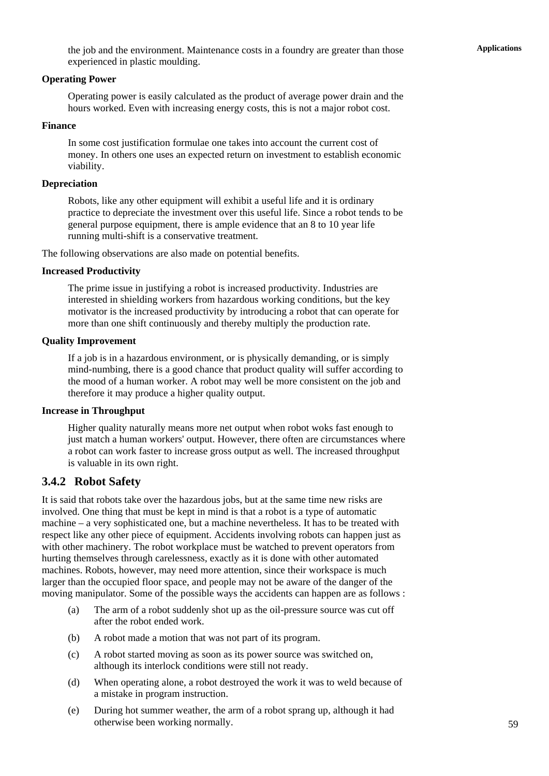#### **Operating Power**

Operating power is easily calculated as the product of average power drain and the hours worked. Even with increasing energy costs, this is not a major robot cost.

#### **Finance**

In some cost justification formulae one takes into account the current cost of money. In others one uses an expected return on investment to establish economic viability.

### **Depreciation**

Robots, like any other equipment will exhibit a useful life and it is ordinary practice to depreciate the investment over this useful life. Since a robot tends to be general purpose equipment, there is ample evidence that an 8 to 10 year life running multi-shift is a conservative treatment.

The following observations are also made on potential benefits.

### **Increased Productivity**

The prime issue in justifying a robot is increased productivity. Industries are interested in shielding workers from hazardous working conditions, but the key motivator is the increased productivity by introducing a robot that can operate for more than one shift continuously and thereby multiply the production rate.

#### **Quality Improvement**

If a job is in a hazardous environment, or is physically demanding, or is simply mind-numbing, there is a good chance that product quality will suffer according to the mood of a human worker. A robot may well be more consistent on the job and therefore it may produce a higher quality output.

#### **Increase in Throughput**

Higher quality naturally means more net output when robot woks fast enough to just match a human workers' output. However, there often are circumstances where a robot can work faster to increase gross output as well. The increased throughput is valuable in its own right.

# **3.4.2 Robot Safety**

It is said that robots take over the hazardous jobs, but at the same time new risks are involved. One thing that must be kept in mind is that a robot is a type of automatic machine – a very sophisticated one, but a machine nevertheless. It has to be treated with respect like any other piece of equipment. Accidents involving robots can happen just as with other machinery. The robot workplace must be watched to prevent operators from hurting themselves through carelessness, exactly as it is done with other automated machines. Robots, however, may need more attention, since their workspace is much larger than the occupied floor space, and people may not be aware of the danger of the moving manipulator. Some of the possible ways the accidents can happen are as follows :

- (a) The arm of a robot suddenly shot up as the oil-pressure source was cut off after the robot ended work.
- (b) A robot made a motion that was not part of its program.
- (c) A robot started moving as soon as its power source was switched on, although its interlock conditions were still not ready.
- (d) When operating alone, a robot destroyed the work it was to weld because of a mistake in program instruction.
- (e) During hot summer weather, the arm of a robot sprang up, although it had otherwise been working normally.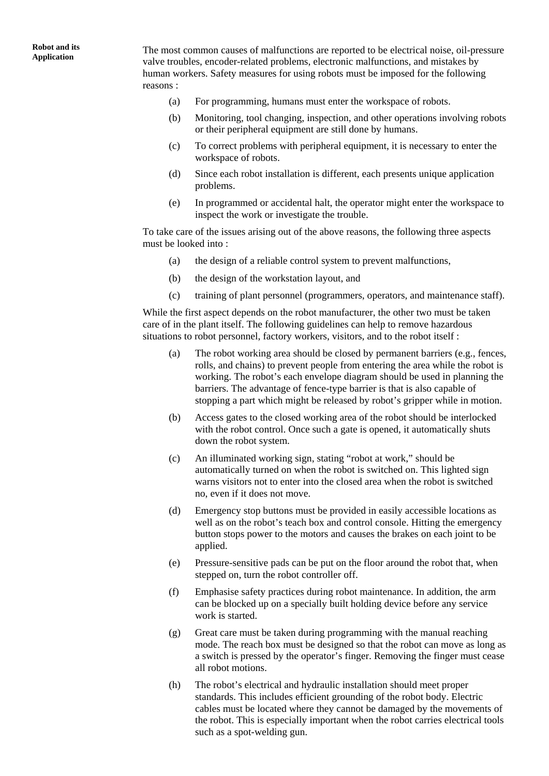**Application** The most common causes of malfunctions are reported to be electrical noise, oil-pressure valve troubles, encoder-related problems, electronic malfunctions, and mistakes by human workers. Safety measures for using robots must be imposed for the following reasons :

- (a) For programming, humans must enter the workspace of robots.
- (b) Monitoring, tool changing, inspection, and other operations involving robots or their peripheral equipment are still done by humans.
- (c) To correct problems with peripheral equipment, it is necessary to enter the workspace of robots.
- (d) Since each robot installation is different, each presents unique application problems.
- (e) In programmed or accidental halt, the operator might enter the workspace to inspect the work or investigate the trouble.

To take care of the issues arising out of the above reasons, the following three aspects must be looked into :

- (a) the design of a reliable control system to prevent malfunctions,
- (b) the design of the workstation layout, and
- (c) training of plant personnel (programmers, operators, and maintenance staff).

While the first aspect depends on the robot manufacturer, the other two must be taken care of in the plant itself. The following guidelines can help to remove hazardous situations to robot personnel, factory workers, visitors, and to the robot itself :

- (a) The robot working area should be closed by permanent barriers (e.g., fences, rolls, and chains) to prevent people from entering the area while the robot is working. The robot's each envelope diagram should be used in planning the barriers. The advantage of fence-type barrier is that is also capable of stopping a part which might be released by robot's gripper while in motion.
- (b) Access gates to the closed working area of the robot should be interlocked with the robot control. Once such a gate is opened, it automatically shuts down the robot system.
- (c) An illuminated working sign, stating "robot at work," should be automatically turned on when the robot is switched on. This lighted sign warns visitors not to enter into the closed area when the robot is switched no, even if it does not move.
- (d) Emergency stop buttons must be provided in easily accessible locations as well as on the robot's teach box and control console. Hitting the emergency button stops power to the motors and causes the brakes on each joint to be applied.
- (e) Pressure-sensitive pads can be put on the floor around the robot that, when stepped on, turn the robot controller off.
- (f) Emphasise safety practices during robot maintenance. In addition, the arm can be blocked up on a specially built holding device before any service work is started.
- (g) Great care must be taken during programming with the manual reaching mode. The reach box must be designed so that the robot can move as long as a switch is pressed by the operator's finger. Removing the finger must cease all robot motions.
- (h) The robot's electrical and hydraulic installation should meet proper standards. This includes efficient grounding of the robot body. Electric cables must be located where they cannot be damaged by the movements of the robot. This is especially important when the robot carries electrical tools such as a spot-welding gun.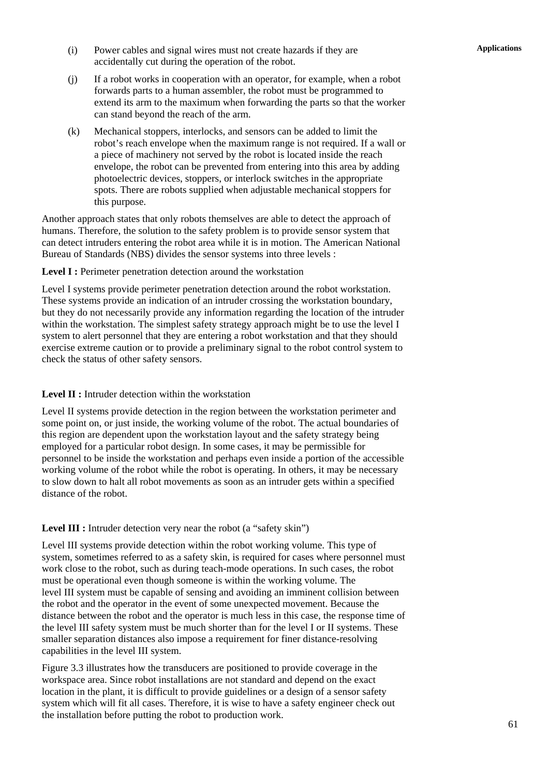- **Applications** (i) Power cables and signal wires must not create hazards if they are accidentally cut during the operation of the robot.
- (j) If a robot works in cooperation with an operator, for example, when a robot forwards parts to a human assembler, the robot must be programmed to extend its arm to the maximum when forwarding the parts so that the worker can stand beyond the reach of the arm.
- (k) Mechanical stoppers, interlocks, and sensors can be added to limit the robot's reach envelope when the maximum range is not required. If a wall or a piece of machinery not served by the robot is located inside the reach envelope, the robot can be prevented from entering into this area by adding photoelectric devices, stoppers, or interlock switches in the appropriate spots. There are robots supplied when adjustable mechanical stoppers for this purpose.

Another approach states that only robots themselves are able to detect the approach of humans. Therefore, the solution to the safety problem is to provide sensor system that can detect intruders entering the robot area while it is in motion. The American National Bureau of Standards (NBS) divides the sensor systems into three levels :

Level I : Perimeter penetration detection around the workstation

Level I systems provide perimeter penetration detection around the robot workstation. These systems provide an indication of an intruder crossing the workstation boundary, but they do not necessarily provide any information regarding the location of the intruder within the workstation. The simplest safety strategy approach might be to use the level I system to alert personnel that they are entering a robot workstation and that they should exercise extreme caution or to provide a preliminary signal to the robot control system to check the status of other safety sensors.

### Level II : Intruder detection within the workstation

Level II systems provide detection in the region between the workstation perimeter and some point on, or just inside, the working volume of the robot. The actual boundaries of this region are dependent upon the workstation layout and the safety strategy being employed for a particular robot design. In some cases, it may be permissible for personnel to be inside the workstation and perhaps even inside a portion of the accessible working volume of the robot while the robot is operating. In others, it may be necessary to slow down to halt all robot movements as soon as an intruder gets within a specified distance of the robot.

Level III : Intruder detection very near the robot (a "safety skin")

Level III systems provide detection within the robot working volume. This type of system, sometimes referred to as a safety skin, is required for cases where personnel must work close to the robot, such as during teach-mode operations. In such cases, the robot must be operational even though someone is within the working volume. The level III system must be capable of sensing and avoiding an imminent collision between the robot and the operator in the event of some unexpected movement. Because the distance between the robot and the operator is much less in this case, the response time of the level III safety system must be much shorter than for the level I or II systems. These smaller separation distances also impose a requirement for finer distance-resolving capabilities in the level III system.

Figure 3.3 illustrates how the transducers are positioned to provide coverage in the workspace area. Since robot installations are not standard and depend on the exact location in the plant, it is difficult to provide guidelines or a design of a sensor safety system which will fit all cases. Therefore, it is wise to have a safety engineer check out the installation before putting the robot to production work.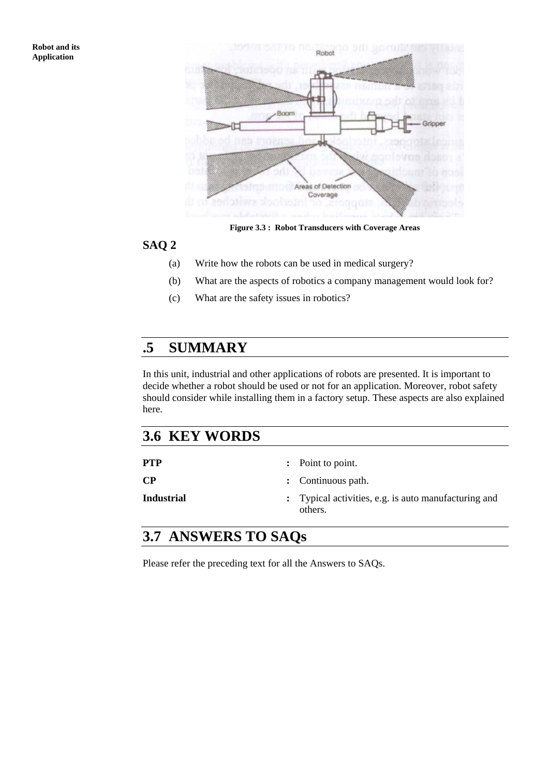

**Figure 3.3 : Robot Transducers with Coverage Areas** 

### **SAQ 2**

- (a) Write how the robots can be used in medical surgery?
- (b) What are the aspects of robotics a company management would look for?
- (c) What are the safety issues in robotics?

# **.5 SUMMARY**

In this unit, industrial and other applications of robots are presented. It is important to decide whether a robot should be used or not for an application. Moreover, robot safety should consider while installing them in a factory setup. These aspects are also explained here.

# **3.6 KEY WORDS**

| <b>PTP</b>        | : Point to point.                                               |
|-------------------|-----------------------------------------------------------------|
| $\bf CP$          | : Continuous path.                                              |
| <b>Industrial</b> | : Typical activities, e.g. is auto manufacturing and<br>others. |

# **3.7 ANSWERS TO SAQs**

Please refer the preceding text for all the Answers to SAQs.